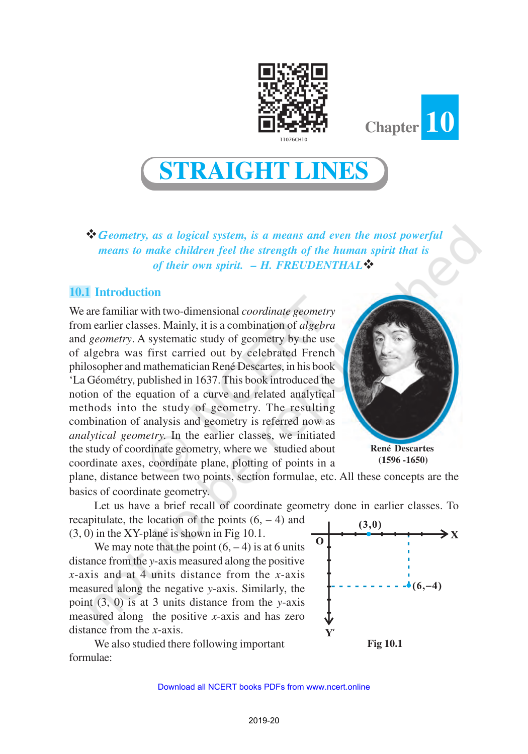



**STRAIGHT LINES**

vG *eometry, as a logical system, is a means and even the most powerful means to make children feel the strength of the human spirit that is of their own spirit. – H. FREUDENTHAL* 

## **10.1 Introduction**

We are familiar with two-dimensional *coordinate geometry* from earlier classes. Mainly, it is a combination of *algebra* and *geometry*. A systematic study of geometry by the use of algebra was first carried out by celebrated French philosopher and mathematician René Descartes, in his book 'La Géométry, published in 1637. This book introduced the notion of the equation of a curve and related analytical methods into the study of geometry. The resulting combination of analysis and geometry is referred now as *analytical geometry.* In the earlier classes, we initiated the study of coordinate geometry, where we studied about coordinate axes, coordinate plane, plotting of points in a



**René Descartes (1596 -1650)**

plane, distance between two points, section formulae, etc. All these concepts are the basics of coordinate geometry.

Let us have a brief recall of coordinate geometry done in earlier classes. To recapitulate, the location of the points  $(6, -4)$  and  $(3,0)$ (3, 0) in the XY-plane is shown in Fig 10.1.

We may note that the point  $(6, -4)$  is at 6 units distance from the *y*-axis measured along the positive *x*-axis and at 4 units distance from the *x*-axis measured along the negative *y*-axis. Similarly, the point (3, 0) is at 3 units distance from the *y*-axis measured along the positive *x*-axis and has zero distance from the *x*-axis.

We also studied there following important formulae:



**Fig 10.1**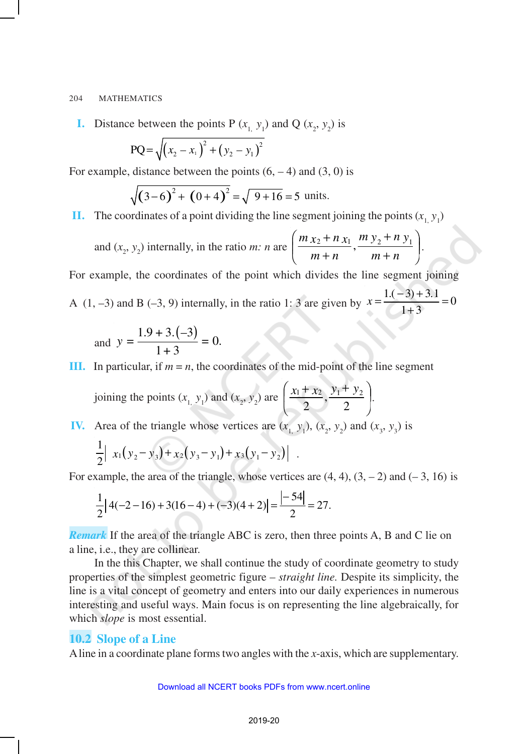**I.** Distance between the points P  $(x_1, y_1)$  and Q  $(x_2, y_2)$  is

$$
PQ = \sqrt{(x_2 - x_1)^2 + (y_2 - y_1)^2}
$$

For example, distance between the points  $(6, -4)$  and  $(3, 0)$  is

$$
\sqrt{(3-6)^2 + (0+4)^2} = \sqrt{9+16} = 5
$$
 units.

**II.** The coordinates of a point dividing the line segment joining the points  $(x_1, y_1)$ 

and 
$$
(x_2, y_2)
$$
 internally, in the ratio m: n are  $\left(\frac{m x_2 + n x_1}{m+n}, \frac{m y_2 + n y_1}{m+n}\right)$ .

For example, the coordinates of the point which divides the line segment joining

A (1, -3) and B (-3, 9) internally, in the ratio 1: 3 are given by  $x = \frac{1(-3) + 3.1}{1 \cdot 2} = 0$  $1 + 3$  $x = \frac{1.(-3) + 3.1}{2} =$ +

and 
$$
y = \frac{1.9 + 3.(-3)}{1 + 3} = 0.
$$

**III.** In particular, if  $m = n$ , the coordinates of the mid-point of the line segment

joining the points  $(x_1, y_1)$  and  $(x_2, y_2)$  are  $\left(\frac{x_1 + x_2}{2}, \frac{y_1 + y_2}{2}\right)$  $\overline{1}$  $\left( \frac{x_1 + x_2}{x_1 + x_2}, \frac{y_1 + y_2}{x_1 + x_2} \right)$  $\setminus$  $\left(x_1 + x_2 \quad y_1 + \right)$ 2 , 2  $\frac{x_1 + x_2}{2}, \frac{y_1 + y_2}{2}.$ 

**IV.** Area of the triangle whose vertices are  $(x_1, y_1), (x_2, y_2)$  and  $(x_3, y_3)$  is

$$
\frac{1}{2}\left| x_1(y_2-y_3)+x_2(y_3-y_1)+x_3(y_1-y_2) \right| .
$$

For example, the area of the triangle, whose vertices are  $(4, 4)$ ,  $(3, -2)$  and  $(-3, 16)$  is

$$
\frac{1}{2}|4(-2-16)+3(16-4)+(-3)(4+2)|=\frac{|-54|}{2}=27.
$$

*Remark* If the area of the triangle ABC is zero, then three points A, B and C lie on a line, i.e., they are collinear.

In the this Chapter, we shall continue the study of coordinate geometry to study properties of the simplest geometric figure – *straight line.* Despite its simplicity, the line is a vital concept of geometry and enters into our daily experiences in numerous interesting and useful ways. Main focus is on representing the line algebraically, for which *slope* is most essential.

### **10.2 Slope of a Line**

A line in a coordinate plane forms two angles with the *x*-axis, which are supplementary.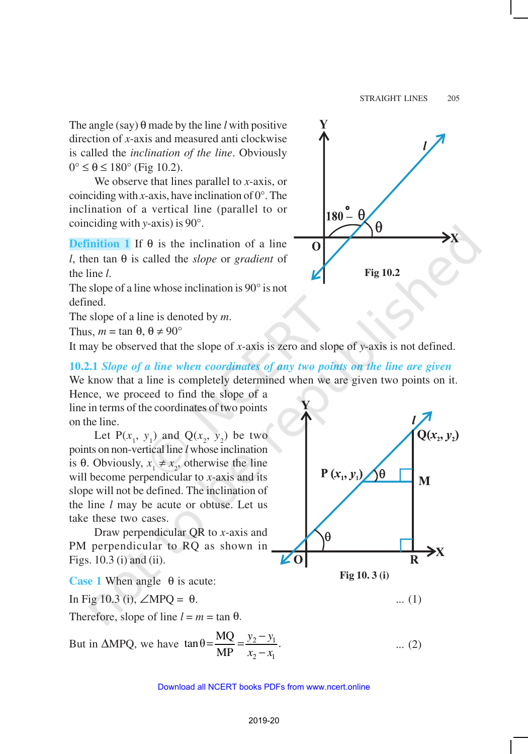The angle (say) θ made by the line *l* with positive direction of *x*-axis and measured anti clockwise is called the *inclination of the line*. Obviously  $0^\circ \leq \theta \leq 180^\circ$  (Fig 10.2).

We observe that lines parallel to *x*-axis, or coinciding with *x*-axis, have inclination of  $0^\circ$ . The inclination of a vertical line (parallel to or coinciding with *y*-axis) is 90°.

**Definition 1** If θ is the inclination of a line *l*, then tan θ is called the *slope* or *gradient* of the line *l*.

The slope of a line whose inclination is 90° is not defined.

The slope of a line is denoted by *m*.

Thus,  $m = \tan \theta$ ,  $\theta \neq 90^{\circ}$ 

It may be observed that the slope of *x*-axis is zero and slope of *y*-axis is not defined.

**10.2.1** *Slope of a line when coordinates of any two points on the line are given* We know that a line is completely determined when we are given two points on it.

Hence, we proceed to find the slope of a line in terms of the coordinates of two points on the line.

Let  $P(x_1, y_1)$  and  $Q(x_2, y_2)$  be two points on non-vertical line *l* whose inclination is  $\theta$ . Obviously,  $x_1 \neq x_2$ , otherwise the line will become perpendicular to *x*-axis and its slope will not be defined. The inclination of the line *l* may be acute or obtuse. Let us take these two cases.

Draw perpendicular QR to *x*-axis and PM perpendicular to RQ as shown in Figs. 10.3 (i) and (ii).

**Case 1** When angle θ is acute:

In Fig 10.3 (i),  $\angle MPQ = \theta$ . ... (1)

Therefore, slope of line  $l = m = \tan \theta$ .

But in  $\triangle MPQ$ , we have  $\tan \theta = \frac{MQ}{Q} = \frac{y_2 - y_1}{2}$ 2  $\lambda$ 1  $\tan \theta = \frac{MQ}{ND} = \frac{y_2 - y_1}{y_2}$ . MP  $y_2 - y$  $x_2 - x$  $=\frac{MQ}{10}=\frac{y_2-}{x_1}$ −





... (2)

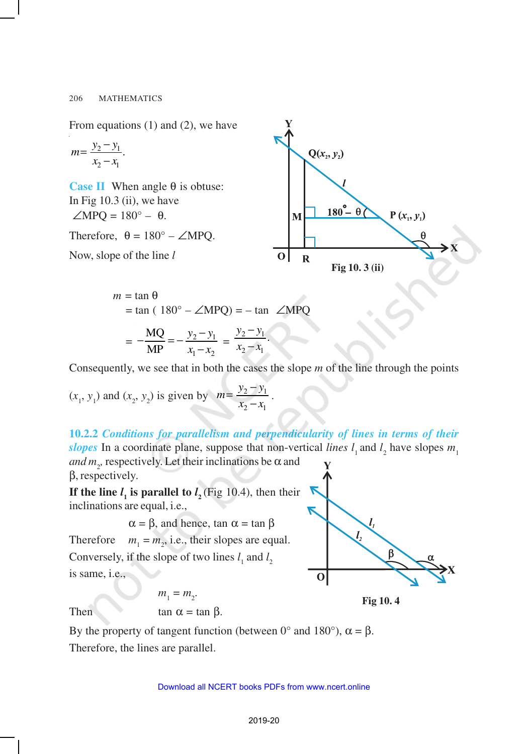From equations (1) and (2), we have

$$
m = \frac{y_2 - y_1}{x_2 - x_1}.
$$

**Case II** When angle  $θ$  is obtuse: In Fig 10.3 (ii), we have  $\angle MPQ = 180^\circ - \theta$ .

Therefore,  $\theta = 180^\circ - \angle MPQ$ .

Now, slope of the line *l*



$$
m = \tan \theta
$$
  
= tan ( 180<sup>o</sup> – ∠MPQ) = – tan ∠MPQ  
= 
$$
-\frac{MQ}{MP} = -\frac{y_2 - y_1}{x_1 - x_2} = \frac{y_2 - y_1}{x_2 - x_1}.
$$

Consequently, we see that in both the cases the slope *m* of the line through the points

.

$$
(x_1, y_1)
$$
 and  $(x_2, y_2)$  is given by  $m = \frac{y_2 - y_1}{x_2 - x_1}$ 

**10.2.2** *Conditions for parallelism and perpendicularity of lines in terms of their slopes* In a coordinate plane, suppose that non-vertical *lines*  $l_1$  and  $l_2$  have slopes  $m_1$ *and*  $m<sub>2</sub>$ , respectively. Let their inclinations be  $\alpha$  and

β, respectively.

**If the line**  $l_1$  **is parallel to**  $l_2$  **(Fig 10.4), then their** inclinations are equal, i.e.,

 $\alpha = \beta$ , and hence, tan  $\alpha = \tan \beta$ Therefore *m*<sup>1</sup>  $=$   $m<sub>2</sub>$ , i.e., their slopes are equal. Conversely, if the slope of two lines  $l_1$  and  $l_2$ is same, i.e.,

 $m_1 = m_2$ .



**Fig 10. 4**

Then

$$
\tan\,\alpha=\tan\,\beta
$$

By the property of tangent function (between 0° and 180°),  $\alpha = \beta$ . Therefore, the lines are parallel.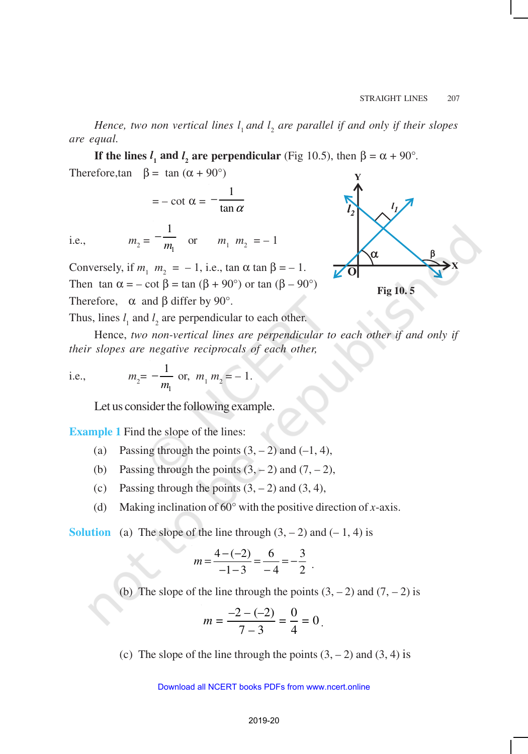Hence, two non vertical lines  $l_1$  and  $l_2$  are parallel if and only if their slopes *are equal.*

**If the lines**  $l_1$  and  $l_2$  are perpendicular (Fig 10.5), then  $\beta = \alpha + 90^\circ$ . Therefore,tan  $\beta = \tan (\alpha + 90^{\circ})$ 

$$
= -\cot \alpha = -\frac{1}{\tan \alpha}
$$

i.e.,  $m_2 = -\frac{m_1}{m_1}$ 1  $-\frac{1}{m_1}$  or  $m_1 m_2 = -1$ 

Conversely, if  $m_1 \, m_2 = -1$ , i.e.,  $\tan \alpha \tan \beta = -1$ . Then tan  $\alpha = -\cot \beta = \tan (\beta + 90^{\circ})$  or tan  $(\beta - 90^{\circ})$ Therefore,  $\alpha$  and  $\beta$  differ by 90°.



Thus, lines  $l_1$  and  $l_2$  are perpendicular to each other.

Hence, *two non-vertical lines are perpendicular to each other if and only if their slopes are negative reciprocals of each other,*

i.e., 
$$
m_2 = -\frac{1}{m_1}
$$
 or,  $m_1 m_2 = -1$ .

Let us consider the following example.

**Example 1** Find the slope of the lines:

- (a) Passing through the points  $(3, -2)$  and  $(-1, 4)$ ,
- (b) Passing through the points  $(3, -2)$  and  $(7, -2)$ ,
- (c) Passing through the points  $(3, -2)$  and  $(3, 4)$ ,
- (d) Making inclination of 60° with the positive direction of *x*-axis.

**Solution** (a) The slope of the line through  $(3, -2)$  and  $(-1, 4)$  is

$$
m = \frac{4 - (-2)}{-1 - 3} = \frac{6}{-4} = -\frac{3}{2}.
$$

(b) The slope of the line through the points  $(3, -2)$  and  $(7, -2)$  is

$$
m = \frac{-2 - (-2)}{7 - 3} = \frac{0}{4} = 0.
$$

(c) The slope of the line through the points  $(3, -2)$  and  $(3, 4)$  is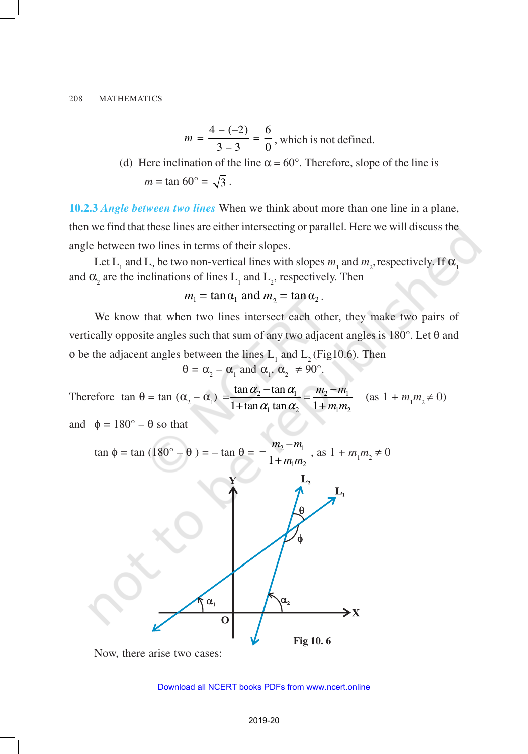$$
m = \frac{4 - (-2)}{3 - 3} = \frac{6}{0}
$$
, which is not defined.

(d) Here inclination of the line  $\alpha = 60^\circ$ . Therefore, slope of the line is *m* = tan  $60^{\circ} = \sqrt{3}$ .

**10.2.3** *Angle between two lines* When we think about more than one line in a plane, then we find that these lines are either intersecting or parallel. Here we will discuss the angle between two lines in terms of their slopes.

Let L<sub>1</sub> and L<sub>2</sub> be two non-vertical lines with slopes  $m_1$  and  $m_2$ , respectively. If  $\alpha_1$ and  $\alpha_2$  are the inclinations of lines  $L_1$  and  $L_2$ , respectively. Then

$$
m_1 = \tan \alpha_1
$$
 and  $m_2 = \tan \alpha_2$ .

We know that when two lines intersect each other, they make two pairs of vertically opposite angles such that sum of any two adjacent angles is 180°. Let θ and  $\phi$  be the adjacent angles between the lines  $L_1$  and  $L_2$  (Fig10.6). Then

$$
\theta = \alpha_{2} - \alpha_{1} \text{ and } \alpha_{1}, \alpha_{2} \neq 90^{\circ}.
$$

Therefore  $\tan \theta = \tan (\alpha_2 - \alpha_1) = \frac{\tan \alpha_2 - \tan \alpha_1}{1 + \tan \alpha \tan \alpha_2} = \frac{m_2 - m_1}{1 + m_2}$  $1 \tan \alpha_2$  1  $m_1 m_2$ tan  $\alpha_2$  – tan  $1 + \tan \alpha_1 \tan \alpha_2 = 1$  $m<sub>2</sub> - m$ *m m*  $\alpha$ <sub>2</sub> – tan  $\alpha$ <sub>1</sub>  $\alpha_1$  tan  $\alpha_2$  $=\frac{\tan \alpha_2 - \tan \alpha_1}{\cos \alpha_2 - \tan \alpha_1}$  $\frac{\tan \alpha_2}{1 + \tan \alpha_1 \tan \alpha_2} = \frac{m_2 - m_1}{1 + m_1 m_2}$  (as  $1 + m_1 m_2 \neq 0$ )

and  $\phi = 180^\circ - \theta$  so that



Now, there arise two cases: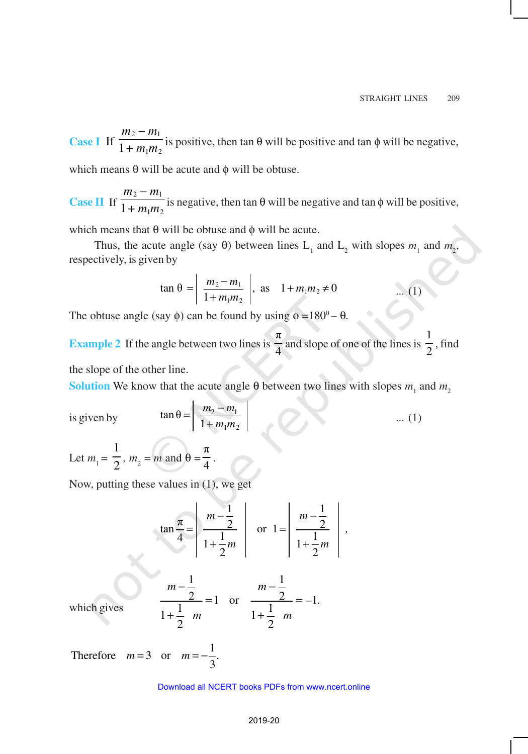**Case I** If  $\frac{m_2 - m_1}{1 + m_2 m_1}$  $1 + m_1 m_2$  $m_2 - m$  $\frac{1}{1 + m_1 m_2}$  is positive, then tan  $\theta$  will be positive and tan  $\phi$  will be negative,

which means  $θ$  will be acute and  $φ$  will be obtuse.

**Case II** If  $\frac{m_2 - m_1}{1 + m_2 m_1}$  $1 + m_1 m_2$  $m_2 - m$  $\frac{1}{1 + m_1 m_2}$  is negative, then tan  $\theta$  will be negative and tan  $\phi$  will be positive,

which means that  $\theta$  will be obtuse and  $\phi$  will be acute.

Thus, the acute angle (say  $\theta$ ) between lines L<sub>1</sub> and L<sub>2</sub> with slopes  $m_1$  and  $m_2$ , respectively, is given by

$$
\tan \theta = \left| \frac{m_2 - m_1}{1 + m_1 m_2} \right|, \text{ as } 1 + m_1 m_2 \neq 0 \qquad \dots (1)
$$

The obtuse angle (say  $\phi$ ) can be found by using  $\phi = 180^\circ - \theta$ .

**Example 2** If the angle between two lines is π  $\frac{1}{4}$  and slope of one of the lines is 1  $\frac{1}{2}$ , find

the slope of the other line.

**Solution** We know that the acute angle  $\theta$  between two lines with slopes  $m_1$  and  $m_2$ 

is given by

$$
\tan \theta = \left| \frac{m_2 - m_1}{1 + m_1 m_2} \right| \qquad \qquad \dots (1)
$$

Let  $m_1 = \frac{1}{2}$ 1 *,*  $m_2 = m$  and  $\theta =$ π  $\frac{1}{4}$ .

Now, putting these values in (1), we get

$$
\tan \frac{\pi}{4} = \left| \frac{m - \frac{1}{2}}{1 + \frac{1}{2}m} \right| \quad \text{or} \quad 1 = \left| \frac{m - \frac{1}{2}}{1 + \frac{1}{2}m} \right|,
$$

which gives 
$$
\frac{m-\frac{1}{2}}{1+\frac{1}{2}} = 1
$$
 or  $\frac{m-\frac{1}{2}}{1+\frac{1}{2}} = -1$ .

Therefore  $m=3$  or  $m=-\frac{1}{3}$ 3  $m = 3$  or  $m = -\frac{1}{2}$ .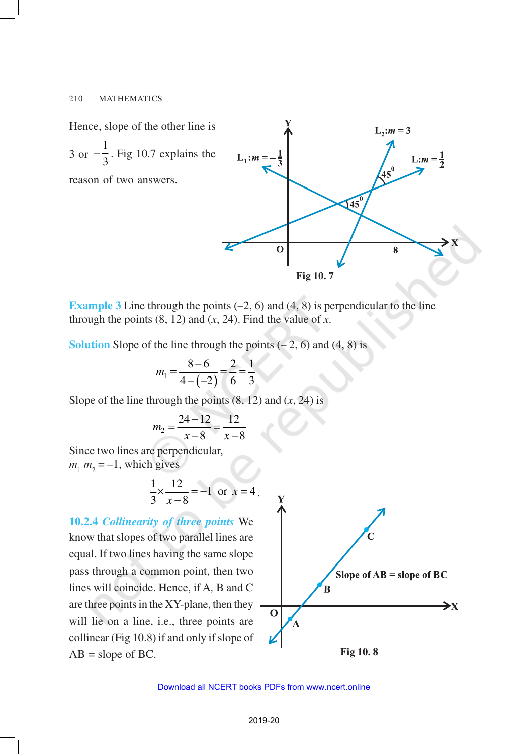

**Example 3** Line through the points  $(-2, 6)$  and  $(4, 8)$  is perpendicular to the line through the points  $(8, 12)$  and  $(x, 24)$ . Find the value of *x*.

**Solution** Slope of the line through the points  $(-2, 6)$  and  $(4, 8)$  is

$$
m_1 = \frac{8-6}{4-(-2)} = \frac{2}{6} = \frac{1}{3}
$$

Slope of the line through the points (8, 12) and (*x*, 24) is

$$
m_2 = \frac{24 - 12}{x - 8} = \frac{12}{x - 8}
$$

Since two lines are perpendicular,  $m_1 m_2 = -1$ , which gives

$$
\frac{1}{3} \times \frac{12}{x-8} = -1 \text{ or } x = 4.
$$

**10.2.4** *Collinearity of three points* We know that slopes of two parallel lines are equal. If two lines having the same slope pass through a common point, then two lines will coincide. Hence, if A*,* B and C are three points in the XY-plane, then they will lie on a line, *i.e.*, three points are collinear (Fig 10.8) if and only if slope of  $AB = slope of BC$ .



**Fig 10. 8**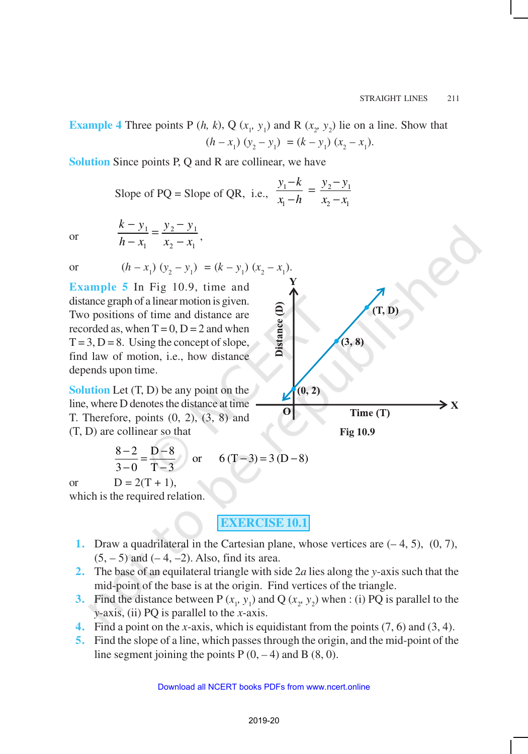**Example 4** Three points P  $(h, k)$ , Q  $(x_1, y_1)$  and R  $(x_2, y_2)$  lie on a line. Show that  $(h - x_1) (y_2 - y_1) = (k - y_1) (x_2 - x_1).$ 

**Solution** Since points P, Q and R are collinear, we have

Slope of PQ = Slope of QR, i.e., 
$$
\frac{y_1 - k}{x_1 - h} = \frac{y_2 - y_1}{x_2 - x_1}
$$

or

$$
\frac{k-y_1}{h-x_1} = \frac{y_2 - y_1}{x_2 - x_1},
$$

**Example 5** In Fig 10.9, time and distance graph of a linear motion is given. Two positions of time and distance are recorded as, when  $T = 0$ ,  $D = 2$  and when  $T = 3$ ,  $D = 8$ . Using the concept of slope, find law of motion, i.e., how distance depends upon time.

**Solution** Let  $(T, D)$  be any point on the line, where D denotes the distance at time T. Therefore, points (0, 2), (3, 8) and (T, D) are collinear so that

$$
\frac{8-2}{3-0} = \frac{D-8}{T-3}
$$
 or  $6(T-3) = 3(D-8)$ 

or  $D = 2(T + 1)$ ,

which is the required relation.

**EXERCISE 10.1**

- **1.** Draw a quadrilateral in the Cartesian plane, whose vertices are (– 4, 5), (0, 7),  $(5, -5)$  and  $(-4, -2)$ . Also, find its area.
- **2.** The base of an equilateral triangle with side 2*a* lies along the *y*-axis such that the mid-point of the base is at the origin. Find vertices of the triangle.
- **3.** Find the distance between P  $(x_1, y_1)$  and Q  $(x_2, y_2)$  when : (i) PQ is parallel to the *y*-axis, (ii) PQ is parallel to the *x*-axis.
- **4.** Find a point on the *x*-axis, which is equidistant from the points (7, 6) and (3, 4).
- **5.** Find the slope of a line, which passes through the origin, and the mid-point of the line segment joining the points  $P(0, -4)$  and  $B(8, 0)$ .



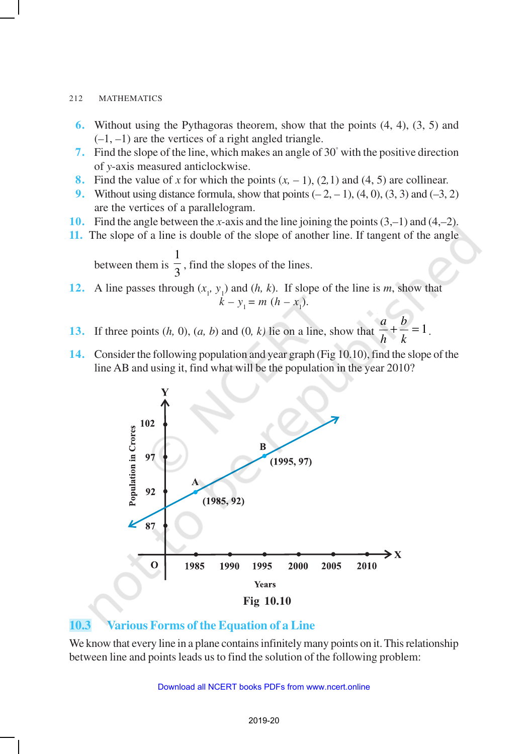- **6.** Without using the Pythagoras theorem, show that the points (4, 4), (3, 5) and (*–*1, *–*1) are the vertices of a right angled triangle.
- **7.** Find the slope of the line, which makes an angle of 30° with the positive direction of *y*-axis measured anticlockwise.
- **8.** Find the value of *x* for which the points  $(x, -1)$ ,  $(2,1)$  and  $(4, 5)$  are collinear.
- **9.** Without using distance formula, show that points  $(-2, -1)$ ,  $(4, 0)$ ,  $(3, 3)$  and  $(-3, 2)$ are the vertices of a parallelogram.
- **10.** Find the angle between the *x-*axis and the line joining the points (3,*–*1) and (4,*–*2).
- **11.** The slope of a line is double of the slope of another line. If tangent of the angle

between them is  $\frac{1}{3}$ 1 , find the slopes of the lines.

- **12.** A line passes through  $(x_1, y_1)$  and  $(h, k)$ . If slope of the line is *m*, show that  $k - y_1 = m(h - x_1).$
- **13.** If three points  $(h, 0)$ ,  $(a, b)$  and  $(0, k)$  lie on a line, show that  $\frac{a}{h} + \frac{b}{k} = 1$ *b h a*
- **14.** Consider the following population and year graph (Fig 10.10), find the slope of the line AB and using it, find what will be the population in the year 2010?

.



# **10.3 Various Forms of the Equation of a Line**

We know that every line in a plane contains infinitely many points on it. This relationship between line and points leads us to find the solution of the following problem: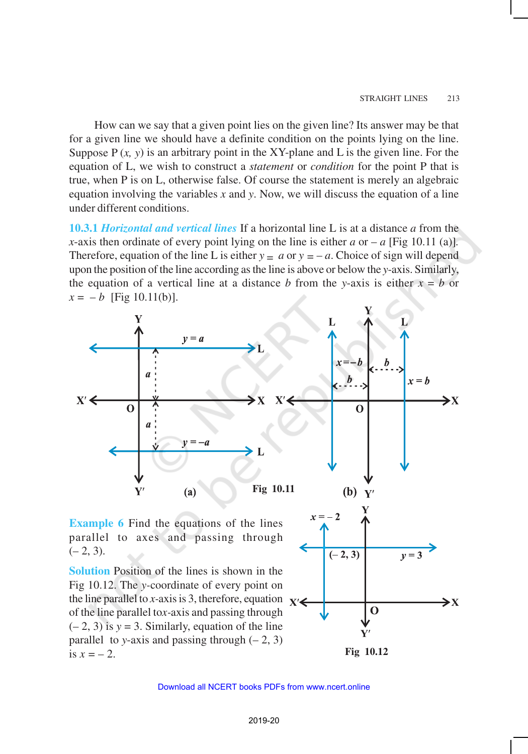How can we say that a given point lies on the given line? Its answer may be that for a given line we should have a definite condition on the points lying on the line. Suppose  $P(x, y)$  is an arbitrary point in the XY-plane and L is the given line. For the equation of L, we wish to construct a *statement* or *condition* for the point P that is true, when P is on L, otherwise false. Of course the statement is merely an algebraic equation involving the variables *x* and *y*. Now, we will discuss the equation of a line under different conditions.

**10.3.1** *Horizontal and vertical lines* If a horizontal line L is at a distance *a* from the *x*-axis then ordinate of every point lying on the line is either  $a$  or  $-a$  [Fig 10.11 (a)]. Therefore, equation of the line L is either  $y = a$  or  $y = -a$ . Choice of sign will depend upon the position of the line according as the line is above or below the *y*-axis. Similarly, the equation of a vertical line at a distance *b* from the *y*-axis is either  $x = b$  or  $x = -b$  [Fig 10.11(b)].

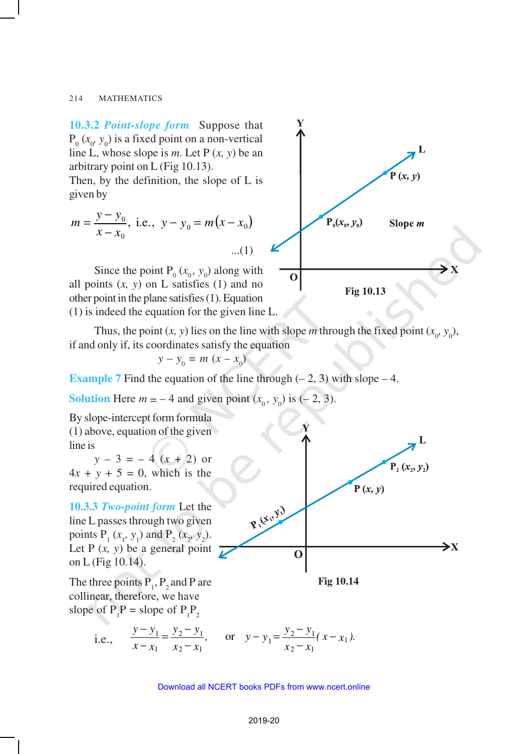**10.3.2** *Point-slope form* Suppose that  $P_0$  ( $x_0$ ,  $y_0$ ) is a fixed point on a non-vertical line L, whose slope is *m*. Let P (*x, y*) be an arbitrary point on L (Fig 10.13).

Then, by the definition, the slope of L is given by

$$
m = \frac{y - y_0}{x - x_0}, \text{ i.e., } y - y_0 = m(x - x_0)
$$
...(1)

Since the point  $P_0(x_0, y_0)$  along with all points  $(x, y)$  on L satisfies  $(1)$  and no other point in the plane satisfies (1). Equation (1) is indeed the equation for the given line L.



$$
y - y_0 = m (x - x_0)
$$

**Example 7** Find the equation of the line through  $(-2, 3)$  with slope  $-4$ .

**Solution** Here  $m = -4$  and given point  $(x_0, y_0)$  is  $(-2, 3)$ .

By slope-intercept form formula (1) above, equation of the given line is

 $y - 3 = -4(x + 2)$  or  $4x + y + 5 = 0$ , which is the required equation.

**10.3.3** *Two-point form* Let the line L passes through two given points  $P_1(x_1, y_1)$  and  $P_2(x_2, y_2)$ . Let P  $(x, y)$  be a general point  $\overline{L}$ on L (Fig 10.14).

The three points  $P_1$ ,  $P_2$  and P are collinear, therefore, we have slope of  $P_1P$  = slope of  $P_1P_2$ 

> i.e.,  $\frac{y-y_1}{x-x_1} = \frac{y_2-y_1}{x_2-x_1}$ , or  $y-y_1 = \frac{y_2-y_1}{x_2-x_1}(x-x_1)$  $y - y_1 = y_2 - y_1$ , or  $y - y_1 = \frac{y_2 - y_1}{x - x_1}$ .  $x - x_1$   $x_2 - x_1$   $x_2 - x_1$   $x_3 - x_1$  $\frac{y_1}{-y_1} = \frac{y_2 - y_1}{-y_1}$ , or  $y - y_1 = \frac{y_2 - y_1}{-y_1}$  $-x_1$   $x_2-x_1$   $x_2$



 $\mathbf{P}, (x_i, y_i)$  $P(x, y)$ P. (Eng)  $\bm{\gt}$ X  $\mathbf 0$ 

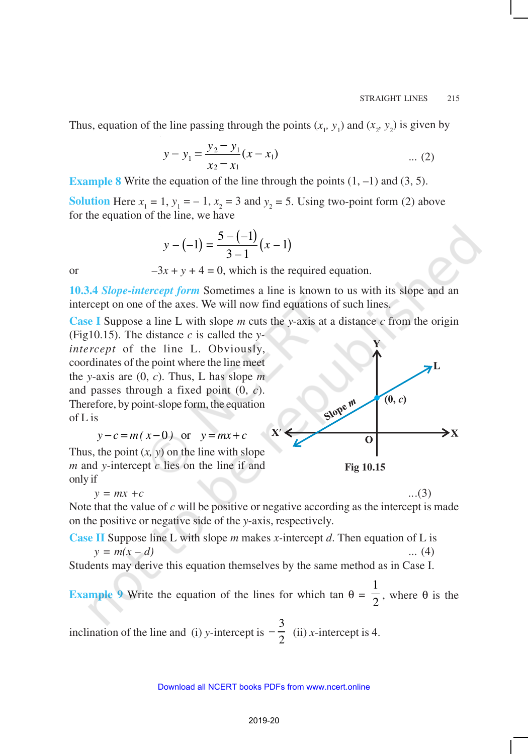Thus, equation of the line passing through the points  $(x_1, y_1)$  and  $(x_2, y_2)$  is given by

$$
y - y_1 = \frac{y_2 - y_1}{x_2 - x_1}(x - x_1) \quad \dots (2)
$$

**Example 8** Write the equation of the line through the points  $(1, -1)$  and  $(3, 5)$ .

**Solution** Here  $x_1 = 1$ ,  $y_1 = -1$ ,  $x_2 = 3$  and  $y_2 = 5$ . Using two-point form (2) above for the equation of the line, we have

$$
y - (-1) = \frac{5 - (-1)}{3 - 1}(x - 1)
$$

or  $-3x + y + 4 = 0$ , which is the required equation.

**10.3.4** *Slope-intercept form* Sometimes a line is known to us with its slope and an intercept on one of the axes. We will now find equations of such lines.

**Case I** Suppose a line L with slope *m* cuts the *y*-axis at a distance *c* from the origin (Fig10.15). The distance *c* is called the *y-*

*intercept* of the line L. Obviously, coordinates of the point where the line meet the *y*-axis are (0, *c*). Thus, L has slope *m* and passes through a fixed point (0, *c*). Therefore, by point-slope form, the equation of L is

$$
y - c = m(x - 0) \quad \text{or} \quad y = mx + c
$$

Thus, the point  $(x, y)$  on the line with slope *m* and *y*-intercept *c* lies on the line if and only if

$$
y = mx + c \tag{3}
$$

Note that the value of *c* will be positive or negative according as the intercept is made on the positive or negative side of the *y*-axis, respectively.

**Case II** Suppose line L with slope *m* makes *x-*intercept *d*. Then equation of L is  $y = m(x - d)$  ... (4)

Students may derive this equation themselves by the same method as in Case I.

**Example 9** Write the equation of the lines for which tan  $\theta = \frac{1}{2}$ 1 , where  $\theta$  is the

inclination of the line and (i) *y-*intercept is 3  $-\frac{3}{2}$  (ii) *x*-intercept is 4.



**Fig 10.15**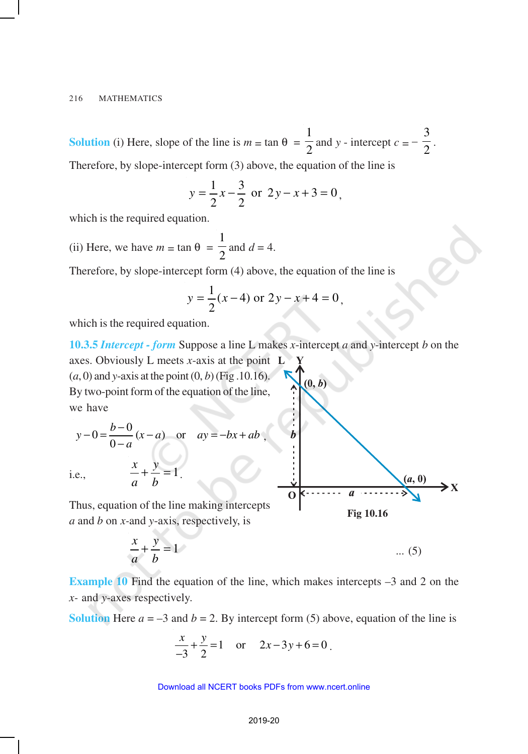**Solution** (i) Here, slope of the line is  $m = \tan \theta = \frac{\pi}{2}$ 1 and *y* - intercept  $c = -\frac{1}{2}$ 3 .

Therefore, by slope-intercept form (3) above, the equation of the line is

$$
y = \frac{1}{2}x - \frac{3}{2}
$$
 or  $2y - x + 3 = 0$ ,

which is the required equation.

(ii) Here, we have  $m = \tan \theta = \frac{\pi}{2}$ 1 and  $d = 4$ .

Therefore, by slope-intercept form (4) above, the equation of the line is

$$
y = \frac{1}{2}(x-4) \text{ or } 2y - x + 4 = 0,
$$

which is the required equation.

**10.3.5** *Intercept - form* Suppose a line L makes *x*-intercept *a* and *y*-intercept *b* on the axes. Obviously L meets *x*-axis at the point  $(a, 0)$  and *y*-axis at the point  $(0, b)$  (Fig. 10.16).  $(0, b)$ By two-point form of the equation of the line, we have

$$
y-0=\frac{b-0}{0-a}(x-a)
$$
 or  $ay=-bx+ab$ ,

i.e.,  $\frac{a}{a} + \frac{y}{b} = 1$ *y a x*

Thus, equation of the line making intercepts *a* and *b* on *x-*and *y*-axis, respectively, is

.

$$
\frac{x}{a} + \frac{y}{b} = 1 \qquad \dots (5)
$$

**Example 10** Find the equation of the line, which makes intercepts –3 and 2 on the *x-* and *y*-axes respectively.

**Solution** Here  $a = -3$  and  $b = 2$ . By intercept form (5) above, equation of the line is

$$
\frac{x}{-3} + \frac{y}{2} = 1 \quad \text{or} \quad 2x - 3y + 6 = 0
$$

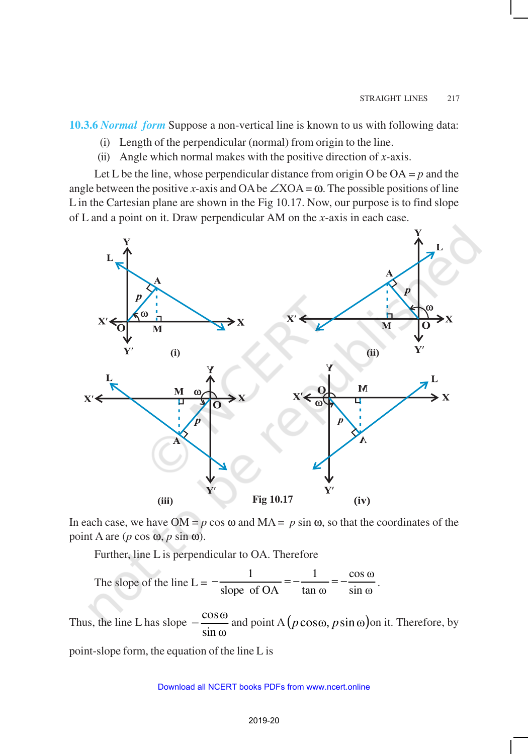**10.3.6** *Normal form* Suppose a non-vertical line is known to us with following data:

- (i) Length of the perpendicular (normal) from origin to the line.
- (ii) Angle which normal makes with the positive direction of  $x$ -axis.

Let L be the line, whose perpendicular distance from origin O be  $OA = p$  and the angle between the positive *x*-axis and OA be  $\angle$ XOA =  $\omega$ . The possible positions of line L in the Cartesian plane are shown in the Fig 10.17. Now, our purpose is to find slope of L and a point on it. Draw perpendicular AM on the *x*-axis in each case.



In each case, we have  $OM = p \cos \omega$  and  $MA = p \sin \omega$ , so that the coordinates of the point A are (*p* cos ω, *p* sin ω).

Further, line L is perpendicular to OA. Therefore

The slope of the line L = 
$$
-\frac{1}{\text{slope of OA}} = -\frac{1}{\tan \omega} = -\frac{\cos \omega}{\sin \omega}
$$
.

Thus, the line L has slope sinω  $-\frac{\cos \omega}{\cos \omega}$  and point A  $(p \cos \omega, p \sin \omega)$ on it. Therefore, by

point-slope form, the equation of the line L is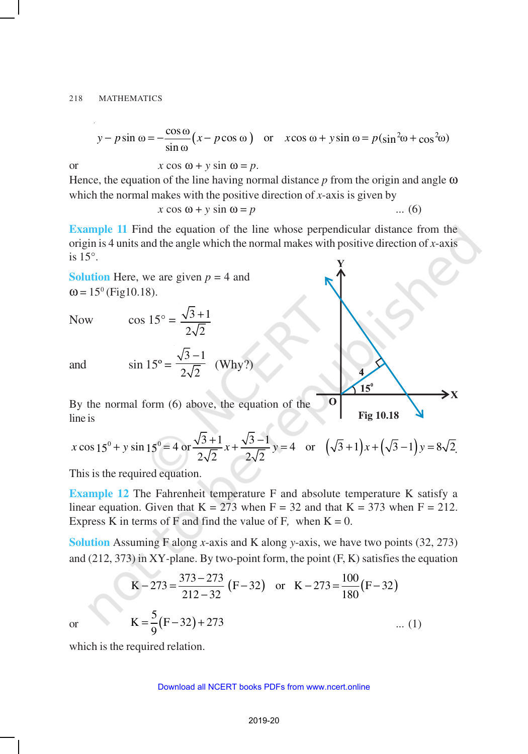$$
y - p\sin\omega = -\frac{\cos\omega}{\sin\omega} \left(x - p\cos\omega\right) \quad \text{or} \quad x\cos\omega + y\sin\omega = p(\sin^2\omega + \cos^2\omega)
$$

or 
$$
x \cos \omega + y \sin \omega = p
$$
.

Hence, the equation of the line having normal distance *p* from the origin and angle ω which the normal makes with the positive direction of *x*-axis is given by

$$
x \cos \omega + y \sin \omega = p \tag{6}
$$

**Example 11** Find the equation of the line whose perpendicular distance from the origin is 4 units and the angle which the normal makes with positive direction of *x*-axis is 15°.

**Solution** Here, we are given 
$$
p = 4
$$
 and  $\omega = 15^{\circ}$  (Fig10.18).

Now 
$$
\cos 15^\circ = \frac{\sqrt{3}+1}{2\sqrt{2}}
$$

and  $\sin 15^\circ =$ 

By the normal form (6) above, the equation of the line is

 $3 - 1$  $2\sqrt{2}$ −

(Why?)

$$
x\cos 15^0 + y\sin 15^0 = 4 \text{ or } \frac{\sqrt{3}+1}{2\sqrt{2}}x + \frac{\sqrt{3}-1}{2\sqrt{2}}y = 4 \text{ or } \left(\sqrt{3}+1\right)x + \left(\sqrt{3}-1\right)y = 8\sqrt{2}.
$$

**Fig 10.18**

 $\mathbf{\geq}$  X

 $15^{\circ}$ 

O

This is the required equation.

**Example 12** The Fahrenheit temperature F and absolute temperature K satisfy a linear equation. Given that  $K = 273$  when  $F = 32$  and that  $K = 373$  when  $F = 212$ . Express K in terms of F and find the value of F, when  $K = 0$ .

**Solution** Assuming F along *x*-axis and K along *y*-axis, we have two points (32, 273) and (212, 373) in XY*-*plane. By two-point form, the point (F, K) satisfies the equation

$$
K - 273 = \frac{373 - 273}{212 - 32} (F - 32) \text{ or } K - 273 = \frac{100}{180} (F - 32)
$$
  
or 
$$
K = \frac{5}{9} (F - 32) + 273 \qquad \dots (1)
$$

which is the required relation.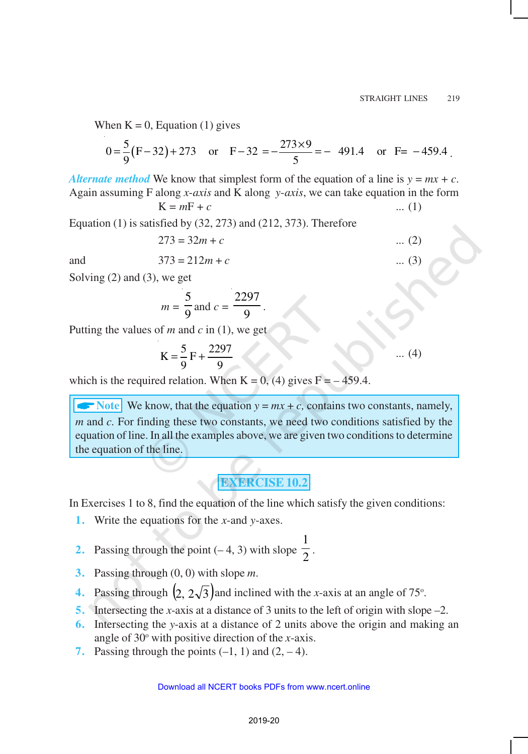When  $K = 0$ , Equation (1) gives

$$
0 = \frac{5}{9} (F - 32) + 273 \quad \text{or} \quad F - 32 = -\frac{273 \times 9}{5} = -491.4 \quad \text{or} \quad F = -459.4
$$

*Alternate method* We know that simplest form of the equation of a line is  $y = mx + c$ . Again assuming F along *x*-*axis* and K along *y*-*axis*, we can take equation in the form

.

$$
K = mF + c \tag{1}
$$

Equation (1) is satisfied by (32, 273) and (212, 373). Therefore

$$
273 = 32m + c \tag{2}
$$

and 
$$
373 = 212m + c
$$
 ... (3)

Solving (2) and (3), we get

$$
m = \frac{5}{9}
$$
 and 
$$
c = \frac{2297}{9}
$$

Putting the values of *m* and *c* in (1), we get

$$
K = \frac{5}{9} F + \frac{2297}{9} \qquad \dots (4)
$$

which is the required relation. When  $K = 0$ , (4) gives  $F = -459.4$ .

 $\blacktriangleright$  Note We know, that the equation  $y = mx + c$ , contains two constants, namely, *m* and *c.* For finding these two constants, we need two conditions satisfied by the equation of line. In all the examples above, we are given two conditions to determine the equation of the line.

# **EXERCISE 10.2**

In Exercises 1 to 8, find the equation of the line which satisfy the given conditions:

**1.** Write the equations for the *x*-and *y*-axes.

2. Passing through the point 
$$
(-4, 3)
$$
 with slope  $\frac{1}{2}$ .

- **3.** Passing through (0, 0) with slope *m*.
- **4.** Passing through  $\left(2, 2\sqrt{3}\right)$  and inclined with the *x*-axis at an angle of 75°.
- **5.** Intersecting the *x*-axis at a distance of 3 units to the left of origin with slope –2.
- **6.** Intersecting the *y*-axis at a distance of 2 units above the origin and making an angle of  $30^\circ$  with positive direction of the *x*-axis.
- **7.** Passing through the points  $(-1, 1)$  and  $(2, -4)$ .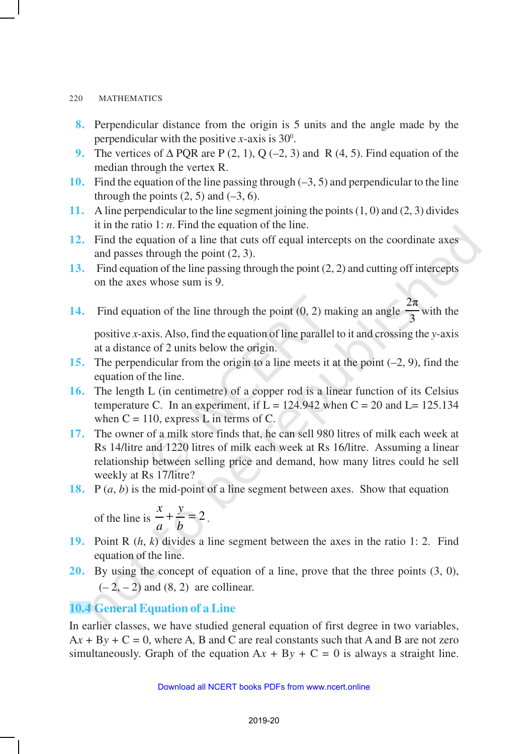- **8.** Perpendicular distance from the origin is 5 units and the angle made by the perpendicular with the positive  $x$ -axis is 30 $^{\circ}$ .
- **9.** The vertices of ∆ PQR are P (2, 1), Q (–2, 3) and R (4, 5). Find equation of the median through the vertex R.
- **10.** Find the equation of the line passing through (–3, 5) and perpendicular to the line through the points  $(2, 5)$  and  $(-3, 6)$ .
- **11.** A line perpendicular to the line segment joining the points (1, 0) and (2, 3) divides it in the ratio 1: *n*. Find the equation of the line.
- **12.** Find the equation of a line that cuts off equal intercepts on the coordinate axes and passes through the point (2, 3).
- **13.** Find equation of the line passing through the point (2, 2) and cutting off intercepts on the axes whose sum is 9.
- **14.** Find equation of the line through the point (0, 2) making an angle 2π  $\frac{1}{3}$  with the

positive *x*-axis. Also, find the equation of line parallel to it and crossing the *y*-axis at a distance of 2 units below the origin.

- **15.** The perpendicular from the origin to a line meets it at the point (–2, 9), find the equation of the line.
- **16.** The length L (in centimetre) of a copper rod is a linear function of its Celsius temperature C. In an experiment, if  $L = 124.942$  when  $C = 20$  and  $L = 125.134$ when  $C = 110$ , express L in terms of C.
- **17.** The owner of a milk store finds that, he can sell 980 litres of milk each week at Rs 14/litre and 1220 litres of milk each week at Rs 16/litre. Assuming a linear relationship between selling price and demand, how many litres could he sell weekly at Rs 17/litre?
- **18.** P (*a*, *b*) is the mid-point of a line segment between axes. Show that equation

of the line is 
$$
\frac{x}{a} + \frac{y}{b} = 2
$$
.

- **19.** Point R (*h*, *k*) divides a line segment between the axes in the ratio 1: 2. Find equation of the line.
- **20.** By using the concept of equation of a line, prove that the three points (3, 0),  $(-2, -2)$  and  $(8, 2)$  are collinear.

# **10.4 General Equation of a Line**

In earlier classes, we have studied general equation of first degree in two variables,  $Ax + By + C = 0$ , where A, B and C are real constants such that A and B are not zero simultaneously. Graph of the equation  $Ax + By + C = 0$  is always a straight line.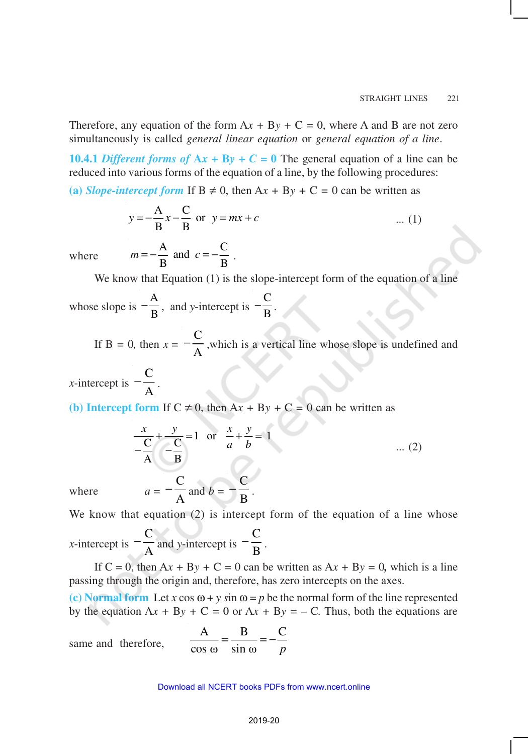Therefore, any equation of the form  $Ax + By + C = 0$ , where A and B are not zero simultaneously is called *general linear equation* or *general equation of a line*.

**10.4.1** Different forms of  $Ax + By + C = 0$  The general equation of a line can be reduced into various forms of the equation of a line, by the following procedures:

(a) *Slope-intercept form* If  $B \neq 0$ , then  $Ax + By + C = 0$  can be written as

$$
y = -\frac{A}{B}x - \frac{C}{B}
$$
 or  $y = mx + c$  ... (1)

where

$$
m = -\frac{A}{B} \text{ and } c = -\frac{C}{B} .
$$

We know that Equation (1) is the slope-intercept form of the equation of a line

whose slope is A  $-\frac{A}{B}$ , and *y*-intercept is  $-\frac{C}{B}$  $-\frac{e}{B}$ .

> If  $B = 0$ , then  $x =$  $\mathcal{C}_{0}^{(n)}$  $-\frac{C}{A}$ , which is a vertical line whose slope is undefined and

*x*-intercept is  $-\frac{1}{A}$  $-\frac{C}{\lambda}$ .

**(b) Intercept form** If  $C \neq 0$ , then  $Ax + By + C = 0$  can be written as

$$
\frac{x}{\frac{C}{A}} + \frac{y}{\frac{C}{B}} = 1 \quad \text{or} \quad \frac{x}{a} + \frac{y}{b} = 1 \quad \dots (2)
$$

where  $a = -\frac{1}{A}$  $-\frac{C}{A}$  and  $b = -\frac{C}{B}$ .

We know that equation (2) is intercept form of the equation of a line whose

*x*-intercept is  $-\frac{1}{A}$  $-\frac{C}{A}$  and *y*-intercept is  $-\frac{C}{B}$ .

If  $C = 0$ , then  $Ax + By + C = 0$  can be written as  $Ax + By = 0$ , which is a line passing through the origin and, therefore, has zero intercepts on the axes.

(c) Normal form Let *x* cos  $\omega + y \sin \omega = p$  be the normal form of the line represented by the equation  $Ax + By + C = 0$  or  $Ax + By = -C$ . Thus, both the equations are

same and therefore,

$$
\frac{A}{\cos \omega} = \frac{B}{\sin \omega} = -\frac{C}{p}
$$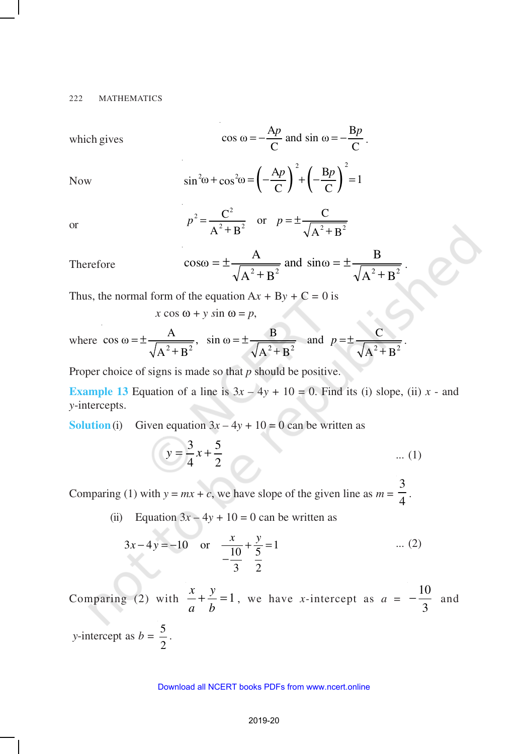which gives 
$$
\cos \omega = -\frac{Ap}{C}
$$
 and  $\sin \omega = -\frac{Bp}{C}$ .

Now 
$$
\sin^2 \omega + \cos^2 \omega = \left(-\frac{Ap}{C}\right)^2 + \left(-\frac{Bp}{C}\right)^2 = 1
$$

or

$$
p^2 = \frac{C^2}{A^2 + B^2}
$$
 or  $p = \pm \frac{C}{\sqrt{A^2 + B^2}}$ 

Therefore 
$$
\cos \omega = \pm \frac{A}{\sqrt{A^2 + B^2}} \text{ and } \sin \omega = \pm \frac{B}{\sqrt{A^2 + B^2}}.
$$

Thus, the normal form of the equation  $Ax + By + C = 0$  is

 $x \cos \omega + y \sin \omega = p$ ,

where 
$$
\cos \omega = \pm \frac{A}{\sqrt{A^2 + B^2}}
$$
,  $\sin \omega = \pm \frac{B}{\sqrt{A^2 + B^2}}$  and  $p = \pm \frac{C}{\sqrt{A^2 + B^2}}$ .

Proper choice of signs is made so that *p* should be positive.

**Example 13** Equation of a line is  $3x - 4y + 10 = 0$ . Find its (i) slope, (ii) *x* - and *y*-intercepts.

**Solution** (i) Given equation  $3x - 4y + 10 = 0$  can be written as

$$
y = \frac{3}{4}x + \frac{5}{2}
$$
 ... (1)

Comparing (1) with  $y = mx + c$ , we have slope of the given line as  $m = \frac{1}{4}$ 3 .

(ii) Equation  $3x - 4y + 10 = 0$  can be written as

2

$$
3x - 4y = -10 \quad \text{or} \quad \frac{x}{-\frac{10}{3}} + \frac{y}{\frac{5}{2}} = 1 \quad \text{... (2)}
$$

Comparing (2) with  $\frac{x}{1} + \frac{y}{1} = 1$ *b y a*  $\frac{x}{t} + \frac{y}{t} = 1$ , we have *x*-intercept as *a* = 3  $-\frac{10}{2}$  and *y*-intercept as  $b = \frac{5}{5}$ .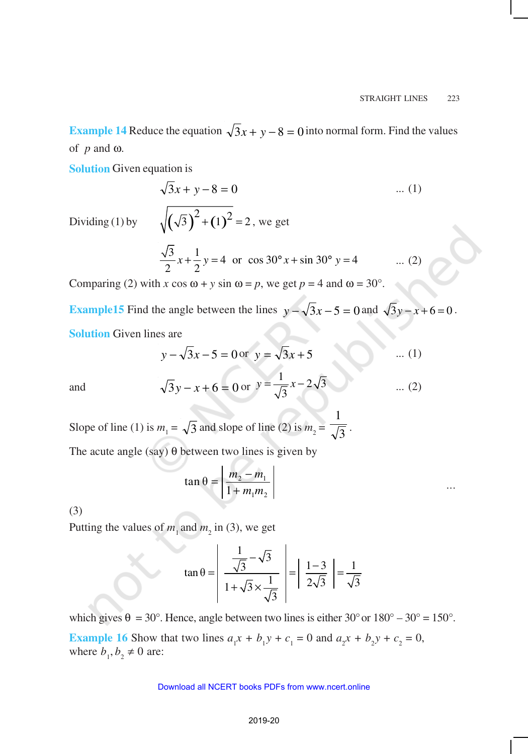**Example 14** Reduce the equation  $\sqrt{3}x + y - 8 = 0$  into normal form. Find the values of *p* and ω.

**Solution** Given equation is

Dividing  $(1)$  by

$$
\sqrt{3}x + y - 8 = 0
$$
 ... (1)  

$$
\sqrt{(\sqrt{3})^2 + (1)^2} = 2
$$
, we get  

$$
\frac{\sqrt{3}}{2}x + \frac{1}{2}y = 4 \text{ or } \cos 30^\circ x + \sin 30^\circ y = 4
$$
 ... (2)

Comparing (2) with *x* cos  $\omega$  + *y* sin  $\omega$  = *p*, we get *p* = 4 and  $\omega$  = 30°.

**Example15** Find the angle between the lines  $y - \sqrt{3}x - 5 = 0$  and  $\sqrt{3}y - x + 6 = 0$ . **Solution** Given lines are

$$
y - \sqrt{3}x - 5 = 0
$$
 or  $y = \sqrt{3}x + 5$  ... (1)

and  $\sqrt{3y-x+6} = 0$  or  $\frac{1}{2}x-2\sqrt{3}$  $y = \frac{1}{\sqrt{3}}x - 2\sqrt{3}$  ... (2)

Slope of line (1) is  $m_1 = \sqrt{3}$  and slope of line (2) is  $m_2 = \sqrt{3}$ 1 .

The acute angle (say)  $\theta$  between two lines is given by

$$
\tan \theta = \left| \frac{m_2 - m_1}{1 + m_1 m_2} \right| \qquad \qquad \dots
$$

(3)

Putting the values of  $m_1$  and  $m_2$  in (3), we get

$$
\tan \theta = \left| \frac{\frac{1}{\sqrt{3}} - \sqrt{3}}{1 + \sqrt{3} \times \frac{1}{\sqrt{3}}} \right| = \left| \frac{1 - 3}{2\sqrt{3}} \right| = \frac{1}{\sqrt{3}}
$$

which gives  $\theta = 30^{\circ}$ . Hence, angle between two lines is either 30° or  $180^{\circ} - 30^{\circ} = 150^{\circ}$ . **Example 16** Show that two lines  $a_1x + b_1y + c_1 = 0$  and  $a_2x + b_2y + c_2 = 0$ , where  $b_1, b_2 \neq 0$  are: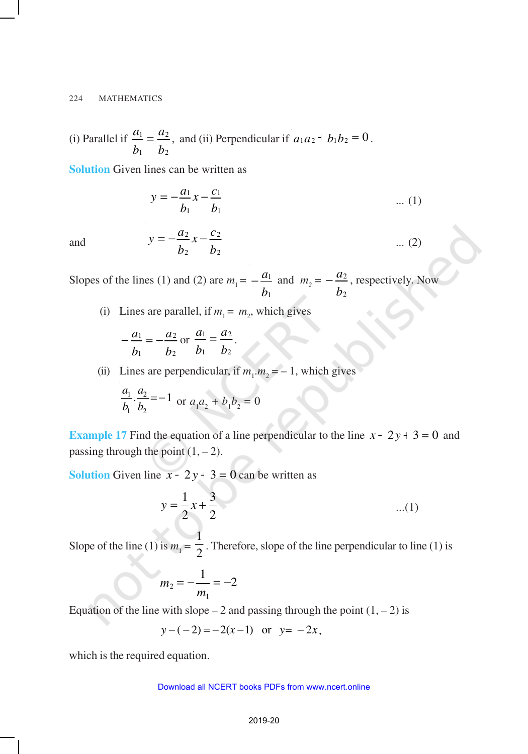(i) Parallel if *b a b a* 2 2 1  $\frac{1}{2} = \frac{a_2}{a_1}$ , and (ii) Perpendicular if  $a_1 a_2 + b_1 b_2 = 0$ .

**Solution** Given lines can be written as

$$
y = -\frac{a_1}{b_1}x - \frac{c_1}{b_1} \qquad \qquad \dots (1)
$$

and  $y = -\frac{y}{b_2}x - \frac{y}{b_1}$  $x - \frac{c}{x}$ *b*  $y = -\frac{a}{a}$ 2 2 2  $=-\frac{a_2}{l}x-\frac{c_2}{l}$  ... (2)

Slopes of the lines (1) and (2) are  $m_1 =$ *b a* 1  $-\frac{a_1}{a_2}$  and  $m_2 =$ *b a* 2  $-\frac{a_2}{a_2}$ , respectively. Now

(i) Lines are parallel, if  $m_1 = m_2$ , which gives

$$
-\frac{a_1}{b_1} = -\frac{a_2}{b_2} \text{ or } \frac{a_1}{b_1} = \frac{a_2}{b_2}.
$$

(ii) Lines are perpendicular, if  $m_1 \cdot m_2 = -1$ , which gives

$$
\frac{a_1}{b_1} \cdot \frac{a_2}{b_2} = -1
$$
 or  $a_1 a_2 + b_1 b_2 = 0$ 

**Example 17** Find the equation of a line perpendicular to the line  $x - 2y + 3 = 0$  and passing through the point  $(1, -2)$ .

**Solution** Given line  $x - 2y + 3 = 0$  can be written as

$$
y = \frac{1}{2}x + \frac{3}{2}
$$
...(1)

Slope of the line (1) is  $m_1 = \frac{1}{2}$ 1 . Therefore, slope of the line perpendicular to line (1) is

$$
m_2 = -\frac{1}{m_1} = -2
$$

Equation of the line with slope – 2 and passing through the point  $(1, -2)$  is

$$
y-(-2) = -2(x-1)
$$
 or  $y = -2x$ ,

which is the required equation.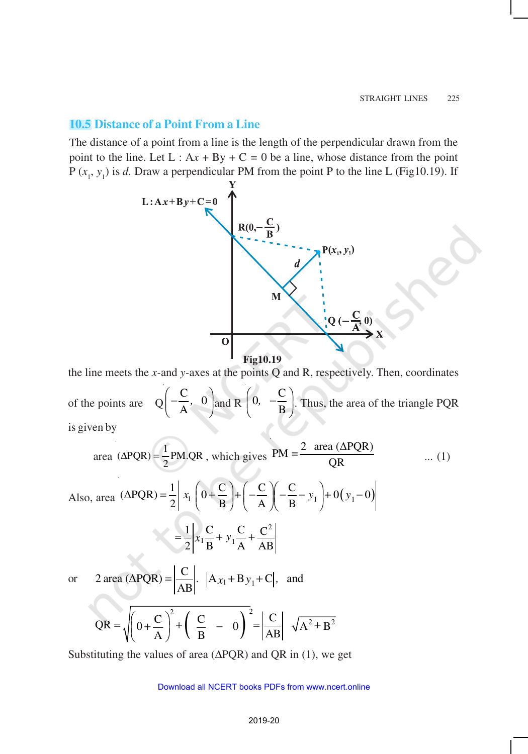### **10.5 Distance of a Point From a Line**

The distance of a point from a line is the length of the perpendicular drawn from the point to the line. Let  $L : Ax + By + C = 0$  be a line, whose distance from the point  $P(x_1, y_1)$  is *d*. Draw a perpendicular PM from the point P to the line L (Fig10.19). If



the line meets the *x-*and *y-*axes at the points Q and R, respectively. Then, coordinates

of the points are Q  $\frac{\mathsf{C}}{\cdot}$ , 0 A  $\left(-\frac{C}{A}, 0\right)$  and R  $\left(0, -\frac{C}{B}\right)$ B  $\left(0, -\frac{C}{B}\right)$ . Thus, the area of the triangle PQR is given by

area (
$$
\triangle PQR
$$
) =  $\frac{1}{2}$  PM.QR, which gives  $PM = \frac{2 \text{ area } (\triangle PQR)}{QR}$  ... (1)  
\n( $\triangle PQR$ ) =  $\frac{1}{2}$  x  $\begin{pmatrix} 0 & C \end{pmatrix} \begin{pmatrix} C & C \end{pmatrix} = \begin{pmatrix} 0 & 0 \end{pmatrix}$ 

Also, area 
$$
(\triangle PQR) = \frac{1}{2} \begin{vmatrix} x_1 \left( 0 + \frac{C}{B} \right) + \left( -\frac{C}{A} \right) \left( -\frac{C}{B} - y_1 \right) + 0 \left( y_1 - 0 \right) \end{vmatrix}
$$
  

$$
= \frac{1}{2} \begin{vmatrix} x_1 \frac{C}{B} + y_1 \frac{C}{A} + \frac{C^2}{AB} \end{vmatrix}
$$

or 2 area  $(\Delta PQR)$  = 2 area ( $\triangle PQR$ ) =  $\frac{\triangle}{\triangle P}$ .  $\left| A_{x_1} + B_{y_1} + C \right|$ , and  $|\overline{AB}|$ .

$$
QR = \sqrt{\left(0 + \frac{C}{A}\right)^2 + \left(\frac{C}{B} - 0\right)^2} = \left|\frac{C}{AB}\right| \sqrt{A^2 + B^2}
$$

Substituting the values of area (∆PQR) and QR in (1), we get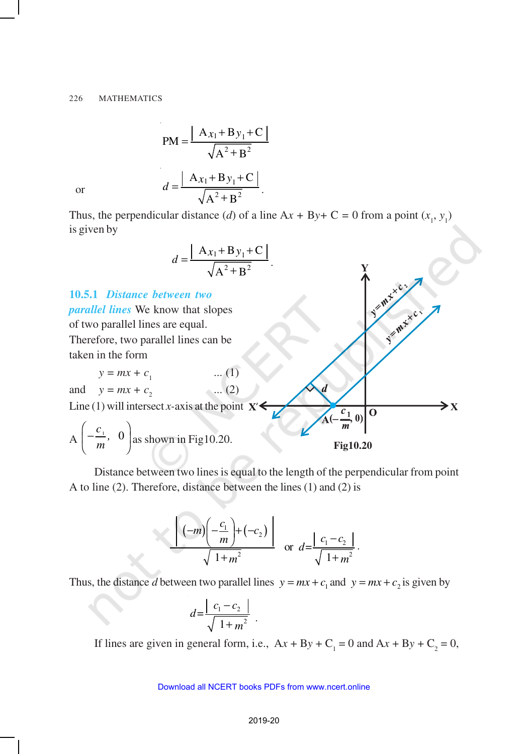$$
PM = \frac{|A_{x_1} + B_{y_1} + C|}{\sqrt{A^2 + B^2}}
$$

$$
d = \frac{|A_{x_1} + B_{y_1} + C|}{\sqrt{A^2 + B^2}}.
$$

or

Thus, the perpendicular distance (*d*) of a line  $Ax + By + C = 0$  from a point  $(x_1, y_1)$ is given by

$$
d = \frac{\left| \mathbf{A}_{x_1} + \mathbf{B}_{y_1} + \mathbf{C} \right|}{\sqrt{\mathbf{A}^2 + \mathbf{B}^2}}.
$$

**10.5.1** *Distance between two parallel lines* We know that slopes of two parallel lines are equal. Therefore, two parallel lines can be taken in the form  $y = mx + c_1$  ... (1) and  $y = mx + c_2$  ... (2) Line (1) will intersect *x*-axis at the point  $X'$ O  $\left(-\frac{c_1}{m}, 0\right)$  $A\left(-\frac{c_1}{m}, 0\right)$  $\left(\frac{-\frac{1}{m}}{m},\frac{0}{m}\right)$  as shown in Fig10.20. **Fig10.20**

Distance between two lines is equal to the length of the perpendicular from point A to line (2). Therefore, distance between the lines (1) and (2) is

$$
\left|\frac{\left|(-m)\left(-\frac{c_1}{m}\right)+\left(-c_2\right)\right|}{\sqrt{1+m^2}}\right| \text{ or } d = \frac{|c_1 - c_2|}{\sqrt{1+m^2}}.
$$

Thus, the distance *d* between two parallel lines  $y = mx + c_1$  and  $y = mx + c_2$  is given by

$$
d = \frac{|c_1 - c_2|}{\sqrt{1 + m^2}}.
$$

If lines are given in general form, i.e.,  $Ax + By + C_1 = 0$  and  $Ax + By + C_2 = 0$ ,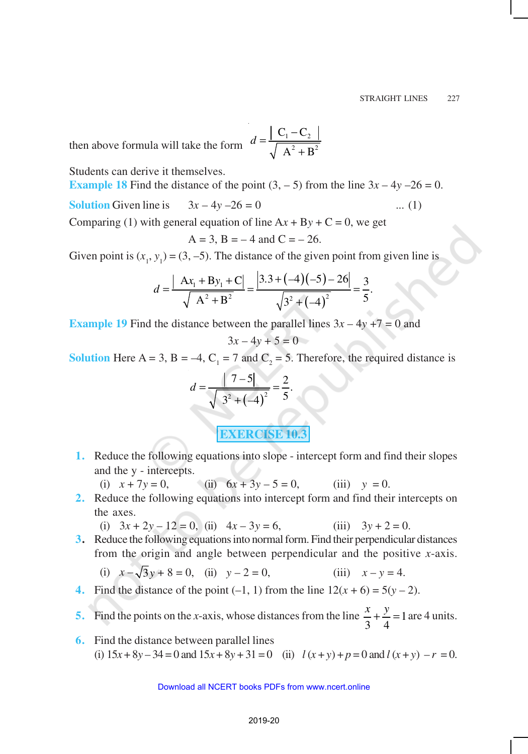then above formula will take the form  $d = \frac{1}{\sqrt{2}} \frac{C_1}{\sqrt{2} + 1}$ 2  $\mathbf{p}^2$  $C_1 - C$  $A^2 + B$ *d*  $=\frac{\begin{vmatrix} C_1 \end{vmatrix}}{\begin{vmatrix} C_1 \end{vmatrix}}$ +

Students can derive it themselves.

**Example 18** Find the distance of the point  $(3, -5)$  from the line  $3x - 4y - 26 = 0$ .

**Solution** Given line is  $3x - 4y - 26 = 0$  ... (1)

Comparing (1) with general equation of line  $Ax + By + C = 0$ , we get

$$
A = 3
$$
,  $B = -4$  and  $C = -26$ .

Given point is  $(x_1, y_1) = (3, -5)$ . The distance of the given point from given line is

$$
d = \frac{|Ax_1 + By_1 + C|}{\sqrt{A^2 + B^2}} = \frac{|3.3 + (-4)(-5) - 26|}{\sqrt{3^2 + (-4)^2}} = \frac{3}{5}.
$$

**Example 19** Find the distance between the parallel lines  $3x - 4y + 7 = 0$  and

$$
3x - 4y + 5 = 0
$$

**Solution** Here A = 3, B = -4,  $C_1$  = 7 and  $C_2$  = 5. Therefore, the required distance is

$$
d = \frac{|7-5|}{\sqrt{3^2 + (-4)^2}} = \frac{2}{5}.
$$

**EXERCISE 10.3**

- **1.** Reduce the following equations into slope intercept form and find their slopes and the y - intercepts.
	- (i)  $x + 7y = 0$ , (ii)  $6x + 3y 5 = 0$ , (iii)  $y = 0$ .
- **2.** Reduce the following equations into intercept form and find their intercepts on the axes.

(i) 
$$
3x + 2y - 12 = 0
$$
, (ii)  $4x - 3y = 6$ , (iii)  $3y + 2 = 0$ .

**3.** Reduce the following equations into normal form. Find their perpendicular distances from the origin and angle between perpendicular and the positive *x*-axis.

(i) 
$$
x - \sqrt{3}y + 8 = 0
$$
, (ii)  $y - 2 = 0$ , (iii)  $x - y = 4$ .

**4.** Find the distance of the point  $(-1, 1)$  from the line  $12(x + 6) = 5(y - 2)$ .

**5.** Find the points on the *x*-axis, whose distances from the line  $\frac{x}{2} + \frac{y}{2} = 1$ 3 4  $\frac{x}{2} + \frac{y}{x} = 1$  are 4 units.

**6.** Find the distance between parallel lines (i)  $15x + 8y - 34 = 0$  and  $15x + 8y + 31 = 0$  (ii)  $l(x + y) + p = 0$  and  $l(x + y) - r = 0$ .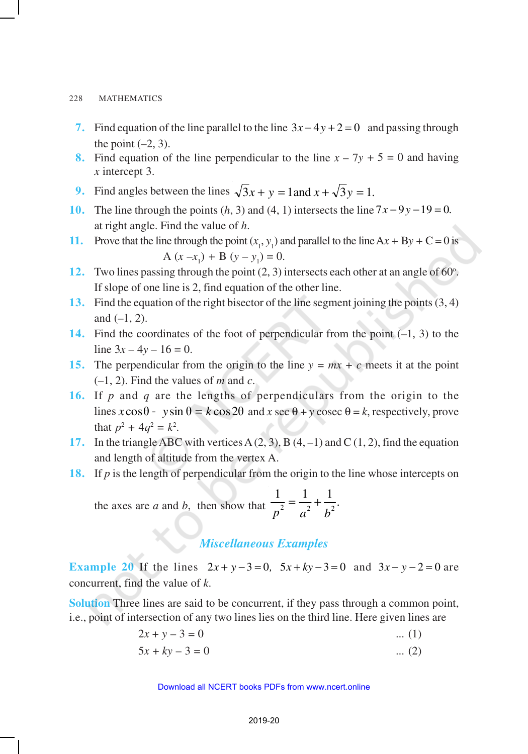- **7.** Find equation of the line parallel to the line  $3x 4y + 2 = 0$  and passing through the point  $(-2, 3)$ .
- **8.** Find equation of the line perpendicular to the line  $x 7y + 5 = 0$  and having *x* intercept 3.
- **9.** Find angles between the lines  $\sqrt{3}x + y = 1$  and  $x + \sqrt{3}y = 1$ .
- **10.** The line through the points  $(h, 3)$  and  $(4, 1)$  intersects the line  $7x 9y 19 = 0$ . at right angle. Find the value of *h*.
- **11.** Prove that the line through the point  $(x_1, y_1)$  and parallel to the line Ax + By + C = 0 is  $A (x-x_1) + B (y-y_1) = 0.$
- 12. Two lines passing through the point  $(2, 3)$  intersects each other at an angle of  $60^\circ$ . If slope of one line is 2, find equation of the other line.
- **13.** Find the equation of the right bisector of the line segment joining the points (3, 4) and (*–*1, 2).
- **14.** Find the coordinates of the foot of perpendicular from the point (*–*1, 3) to the line  $3x - 4y - 16 = 0$ .
- **15.** The perpendicular from the origin to the line  $y = mx + c$  meets it at the point (*–*1, 2). Find the values of *m* and *c*.
- **16.** If *p* and *q* are the lengths of perpendiculars from the origin to the lines  $x\cos\theta - y\sin\theta = k\cos 2\theta$  and  $x \sec \theta + y \csc \theta = k$ , respectively, prove that  $p^2 + 4q^2 = k^2$ .
- **17.** In the triangle ABC with vertices A (2, 3), B (4, *–*1) and C (1, 2), find the equation and length of altitude from the vertex A.
- **18.** If *p* is the length of perpendicular from the origin to the line whose intercepts on

the axes are *a* and *b*, then show that  $\frac{1}{n^2} = \frac{1}{n^2} + \frac{1}{n^2}$ .  $p^2$ <sup> $a^2$ </sup> $b^2$  $=\frac{1}{2}+$ 

## *Miscellaneous Examples*

**Example 20** If the lines  $2x + y - 3 = 0$ ,  $5x + ky - 3 = 0$  and  $3x - y - 2 = 0$  are concurrent, find the value of *k*.

**Solution** Three lines are said to be concurrent, if they pass through a common point, i.e., point of intersection of any two lines lies on the third line. Here given lines are

- $2x + y 3 = 0$  ... (1)
- $5x + ky 3 = 0$  ... (2)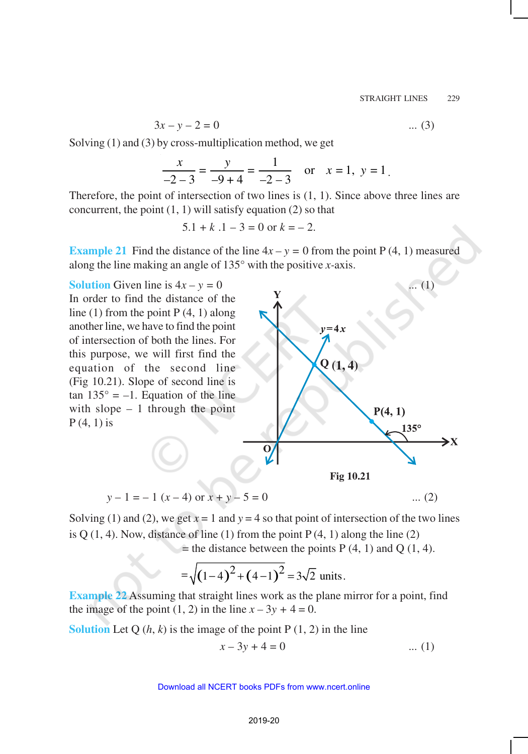$$
3x - y - 2 = 0 \tag{3}
$$

Solving (1) and (3) by cross-multiplication method, we get

$$
\frac{x}{-2-3} = \frac{y}{-9+4} = \frac{1}{-2-3}
$$
 or  $x = 1$ ,  $y = 1$ .

Therefore, the point of intersection of two lines is  $(1, 1)$ . Since above three lines are concurrent, the point  $(1, 1)$  will satisfy equation  $(2)$  so that

$$
5.1 + k .1 - 3 = 0 \text{ or } k = -2.
$$

**Example 21** Find the distance of the line  $4x - y = 0$  from the point P (4, 1) measured along the line making an angle of 135° with the positive *x-*axis.

**Solution** Given line is  $4x - y = 0$  ... (1) In order to find the distance of the line (1) from the point  $P(4, 1)$  along another line, we have to find the point of intersection of both the lines. For this purpose, we will first find the equation of the second line (Fig 10.21). Slope of second line is tan  $135^\circ = -1$ . Equation of the line with slope  $-1$  through the point  $P(4, 1)$  is



$$
y - 1 = -1(x - 4) \text{ or } x + y - 5 = 0 \tag{2}
$$

Solving (1) and (2), we get  $x = 1$  and  $y = 4$  so that point of intersection of the two lines is Q  $(1, 4)$ . Now, distance of line  $(1)$  from the point P $(4, 1)$  along the line  $(2)$  $=$  the distance between the points P (4, 1) and Q (1, 4).

$$
=\sqrt{(1-4)^2+(4-1)^2}=3\sqrt{2}
$$
 units.

**Example 22** Assuming that straight lines work as the plane mirror for a point, find the image of the point  $(1, 2)$  in the line  $x - 3y + 4 = 0$ .

**Solution** Let Q  $(h, k)$  is the image of the point P  $(1, 2)$  in the line

$$
x - 3y + 4 = 0
$$
 ... (1)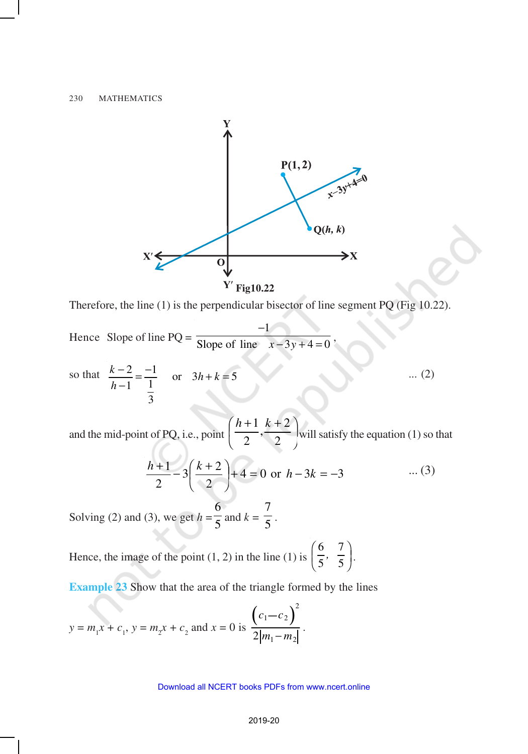

Therefore, the line (1) is the perpendicular bisector of line segment PQ (Fig 10.22).

Hence Slope of line  $PQ =$ 1 Slope of line  $x - 3y + 4 = 0$ −  $-3y+4=0$ 

so that 
$$
\frac{k-2}{h-1} = \frac{-1}{\frac{1}{3}}
$$
 or  $3h+k=5$  ... (2)

and the mid-point of PQ, i.e., point  $\left(\frac{n+1}{2}, \frac{n+2}{2}\right)$  $\left(\frac{h+1}{2},\frac{k+2}{2}\right)$ l  $(h+1 k+$ 2  $\frac{k+2}{2}$ 2  $h+1$   $k$ will satisfy the equation (1) so that

$$
\frac{h+1}{2} - 3\left(\frac{k+2}{2}\right) + 4 = 0 \text{ or } h - 3k = -3 \quad \dots (3)
$$

Solving (2) and (3), we get  $h = \frac{1}{5}$ 6 and  $k = \frac{1}{5}$ 7 .

Hence, the image of the point  $(1, 2)$  in the line  $(1)$  is 6 7 5 5  $\left(\frac{6}{5}, \frac{7}{5}\right)$ .

**Example 23** Show that the area of the triangle formed by the lines

$$
y = m_1 x + c_1
$$
,  $y = m_2 x + c_2$  and  $x = 0$  is 
$$
\frac{\left(c_1 - c_2\right)^2}{2|m_1 - m_2|}.
$$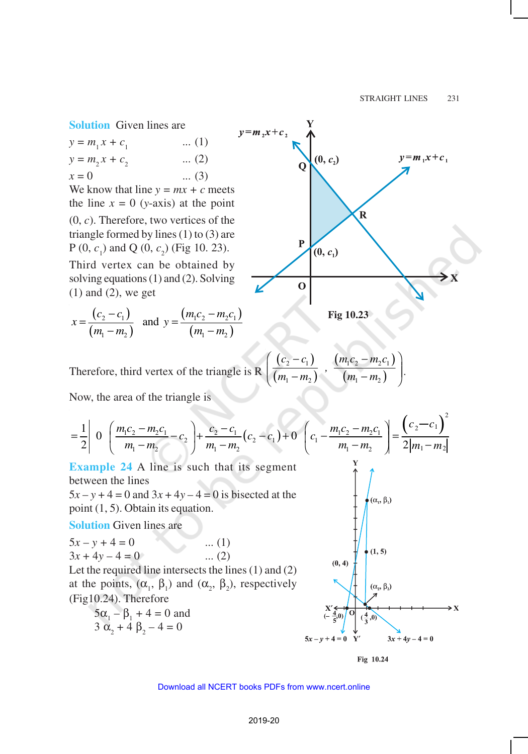**Solution** Given lines are

 $y = m_1 x + c_1$ ... (1)  $y = m_2 x + c_2$ ... (2)  $x = 0$  ... (3)

We know that line  $y = mx + c$  meets the line  $x = 0$  (*y*-axis) at the point (0, *c*). Therefore, two vertices of the triangle formed by lines (1) to (3) are  $P(0, c_1)$  and Q  $(0, c_2)$  (Fig 10. 23).

Third vertex can be obtained by solving equations (1) and (2). Solving  $(1)$  and  $(2)$ , we get

$$
x = \frac{(c_2 - c_1)}{(m_1 - m_2)} \text{ and } y = \frac{(m_1c_2 - m_2c_1)}{(m_1 - m_2)}
$$



**Fig 10.23**

Therefore, third vertex of the triangle is R 
$$
\left( \frac{(c_2 - c_1)}{(m_1 - m_2)} \right), \frac{(m_1c_2 - m_2c_1)}{(m_1 - m_2)} \right)
$$
.

Now, the area of the triangle is

$$
\begin{aligned}\n&= \frac{1}{2} \left| 0 \left( \frac{m_1 c_2 - m_2 c_1}{m_1 - m_2} - c_2 \right) + \frac{c_2 - c_1}{m_1 - m_2} (c_2 - c_1) + 0 \left( c_1 - \frac{m_1 c_2 - m_2 c_1}{m_1 - m_2} \right) \right| = \frac{\left( c_2 - c_1 \right)^2}{2 |m_1 - m_2|} \\
&\text{Example 24 A line is such that its segment} \\
&\text{between the lines} \\
&5x - y + 4 = 0 \text{ and } 3x + 4y - 4 = 0 \text{ is bisected at the point (1, 5). Obtain its equation.} \\
&\text{Solution Given lines are} \\
&5x - y + 4 = 0 \quad \dots (1) \\
&3x + 4y - 4 = 0 \quad \dots (2) \\
&\text{Let the required line intersects the lines (1) and (2)} \\
&\text{at the points, } (\alpha_1, \beta_1) \text{ and } (\alpha_2, \beta_2), \text{ respectively} \\
&\text{(Fig 10.24). Therefore} \\
&5\alpha_1 - \beta_1 + 4 = 0 \text{ and } \begin{cases} \n\alpha_2 + \beta_2 - 4 = 0 \\
\alpha_3 + \beta_2 - 4 = 0\n\end{cases}\n\end{aligned}
$$

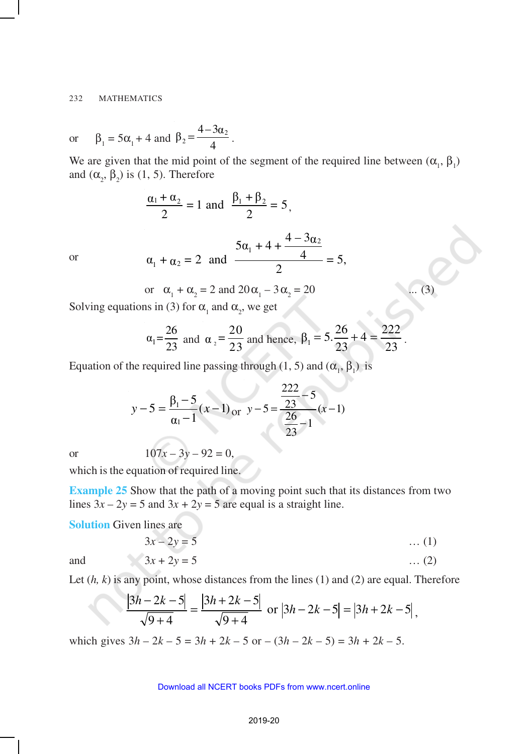or 
$$
\beta_1 = 5\alpha_1 + 4
$$
 and  $\beta_2 = \frac{4 - 3\alpha_2}{4}$ .

We are given that the mid point of the segment of the required line between  $(\alpha_1, \beta_1)$ and  $(\alpha_2, \beta_2)$  is (1, 5). Therefore

$$
\frac{\alpha_1 + \alpha_2}{2} = 1 \text{ and } \frac{\beta_1 + \beta_2}{2} = 5,
$$
  

$$
\alpha_1 + \alpha_2 = 2 \text{ and } \frac{5\alpha_1 + 4 + \frac{4 - 3\alpha_2}{4}}{2} = 5,
$$

or

or 
$$
\alpha_1 + \alpha_2 = 2
$$
 and  $20\alpha_1 - 3\alpha_2 = 20$  ... (3)

Solving equations in (3) for  $\alpha_1$  and  $\alpha_2$ , we get

$$
\alpha_1 = \frac{26}{23}
$$
 and  $\alpha_2 = \frac{20}{23}$  and hence,  $\beta_1 = 5 \cdot \frac{26}{23} + 4 = \frac{222}{23}$ .

Equation of the required line passing through (1, 5) and  $(\alpha_1, \beta_1)$  is

$$
y-5 = \frac{\beta_1 - 5}{\alpha_1 - 1}(x-1) \text{ or } y-5 = \frac{\frac{222}{23} - 5}{\frac{26}{23} - 1}(x-1)
$$

or 
$$
107x - 3y - 92 = 0,
$$

which is the equation of required line.

**Example 25** Show that the path of a moving point such that its distances from two lines  $3x - 2y = 5$  and  $3x + 2y = 5$  are equal is a straight line.

**Solution** Given lines are

$$
3x - 2y = 5 \tag{1}
$$

and 
$$
3x + 2y = 5
$$
 ... (2)

Let (*h, k*) is any point, whose distances from the lines (1) and (2) are equal. Therefore

$$
\frac{|3h-2k-5|}{\sqrt{9+4}} = \frac{|3h+2k-5|}{\sqrt{9+4}} \text{ or } |3h-2k-5| = |3h+2k-5|,
$$

which gives  $3h - 2k - 5 = 3h + 2k - 5$  or  $-(3h - 2k - 5) = 3h + 2k - 5$ .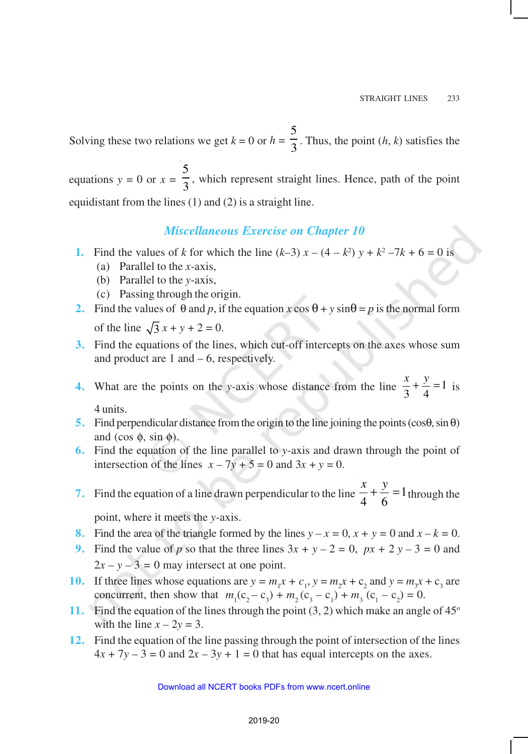Solving these two relations we get  $k = 0$  or  $h = \frac{1}{3}$ 5 . Thus, the point (*h*, *k*) satisfies the

equations  $y = 0$  or  $x = \frac{1}{3}$ 5 , which represent straight lines. Hence, path of the point equidistant from the lines (1) and (2) is a straight line.

### *Miscellaneous Exercise on Chapter 10*

- **1.** Find the values of *k* for which the line  $(k-3)x (4 k^2)y + k^2 7k + 6 = 0$  is
	- (a) Parallel to the *x*-axis,
	- (b) Parallel to the *y*-axis,
	- (c) Passing through the origin.
- **2.** Find the values of  $\theta$  and *p*, if the equation *x* cos  $\theta$  + *y* sin $\theta$  = *p* is the normal form of the line  $\sqrt{3} x + y + 2 = 0$ .
- **3.** Find the equations of the lines, which cut-off intercepts on the axes whose sum and product are  $1$  and  $-6$ , respectively.
- **4.** What are the points on the *y*-axis whose distance from the line  $\frac{x}{3} + \frac{y}{4} = 1$  $\frac{x}{2} + \frac{y}{4} = 1$  is 4 units.
- **5.** Find perpendicular distance from the origin to the line joining the points (cosθ, sin θ) and (cos  $\phi$ , sin  $\phi$ ).
- **6.** Find the equation of the line parallel to *y*-axis and drawn through the point of intersection of the lines  $x - 7y + 5 = 0$  and  $3x + y = 0$ .
- **7.** Find the equation of a line drawn perpendicular to the line  $\frac{x}{4} + \frac{y}{6} = 1$ 4 6  $\frac{x}{y} + \frac{y}{z} =$ through the

point, where it meets the *y*-axis.

- **8.** Find the area of the triangle formed by the lines  $y x = 0$ ,  $x + y = 0$  and  $x k = 0$ .
- **9.** Find the value of *p* so that the three lines  $3x + y 2 = 0$ ,  $px + 2y 3 = 0$  and  $2x - y - 3 = 0$  may intersect at one point.
- **10.** If three lines whose equations are  $y = m_1 x + c_1$ ,  $y = m_2 x + c_2$  and  $y = m_3 x + c_3$  are concurrent, then show that  $m_1(c_2 - c_3) + m_2(c_3 - c_1) + m_3(c_1 - c_2) = 0$ .
- **11.** Find the equation of the lines through the point  $(3, 2)$  which make an angle of  $45^\circ$ with the line  $x - 2y = 3$ .
- **12.** Find the equation of the line passing through the point of intersection of the lines  $4x + 7y - 3 = 0$  and  $2x - 3y + 1 = 0$  that has equal intercepts on the axes.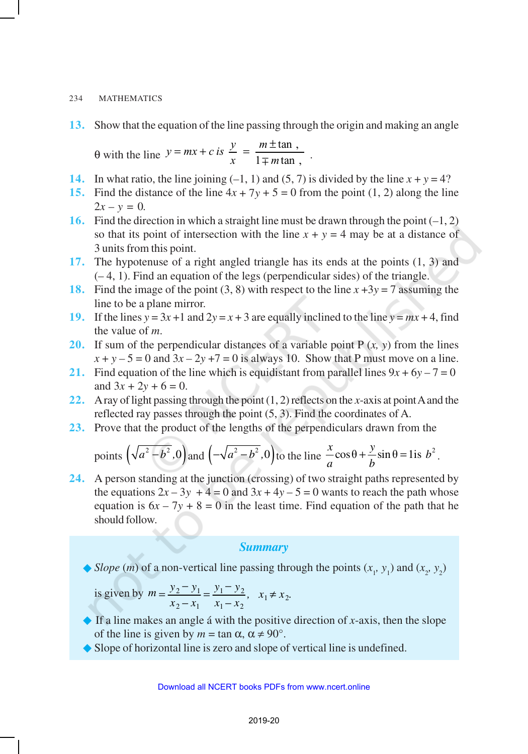### 234 MATHEMATICS

**13.** Show that the equation of the line passing through the origin and making an angle

θ with the line  $y = mx + c$  is  $\frac{y}{x}$ *m*  $= mx + c$  is  $\frac{y}{x} = \frac{m \pm \tan x}{1 \mp m \tan y}$  $\frac{1}{1 \mp m \tan}$ .

- **14.** In what ratio, the line joining  $(-1, 1)$  and  $(5, 7)$  is divided by the line  $x + y = 4$ ?
- **15.** Find the distance of the line  $4x + 7y + 5 = 0$  from the point (1, 2) along the line  $2x - y = 0$ .
- **16.** Find the direction in which a straight line must be drawn through the point (*–*1, 2) so that its point of intersection with the line  $x + y = 4$  may be at a distance of 3 units from this point.
- **17.** The hypotenuse of a right angled triangle has its ends at the points (1, 3) and (– 4, 1). Find an equation of the legs (perpendicular sides) of the triangle.
- **18.** Find the image of the point (3, 8) with respect to the line  $x + 3y = 7$  assuming the line to be a plane mirror.
- **19.** If the lines  $y = 3x + 1$  and  $2y = x + 3$  are equally inclined to the line  $y = mx + 4$ , find the value of *m*.
- **20.** If sum of the perpendicular distances of a variable point P (*x, y*) from the lines  $x + y - 5 = 0$  and  $3x - 2y + 7 = 0$  is always 10. Show that P must move on a line.
- **21.** Find equation of the line which is equidistant from parallel lines  $9x + 6y 7 = 0$ and  $3x + 2y + 6 = 0$ .
- **22.** A ray of light passing through the point (1, 2) reflects on the *x*-axis at point A and the reflected ray passes through the point (5, 3). Find the coordinates of A.
- **23.** Prove that the product of the lengths of the perpendiculars drawn from the

points 
$$
\left(\sqrt{a^2-b^2},0\right)
$$
 and  $\left(-\sqrt{a^2-b^2},0\right)$  to the line  $\frac{x}{a}\cos\theta + \frac{y}{b}\sin\theta = 1$  is  $b^2$ .

**24.** A person standing at the junction (crossing) of two straight paths represented by the equations  $2x - 3y + 4 = 0$  and  $3x + 4y - 5 = 0$  wants to reach the path whose equation is  $6x - 7y + 8 = 0$  in the least time. Find equation of the path that he should follow.

### *Summary*

 $\bullet$  *Slope* (*m*) of a non-vertical line passing through the points (*x*<sub>1</sub>, *y*<sub>1</sub>) and (*x*<sub>2</sub>, *y*<sub>2</sub>)

is given by 
$$
m = \frac{y_2 - y_1}{x_2 - x_1} = \frac{y_1 - y_2}{x_1 - x_2}
$$
,  $x_1 \neq x_2$ .

- $\triangle$  If a line makes an angle á with the positive direction of *x*-axis, then the slope of the line is given by  $m = \tan \alpha$ ,  $\alpha \neq 90^{\circ}$ .
- $\blacklozenge$  Slope of horizontal line is zero and slope of vertical line is undefined.